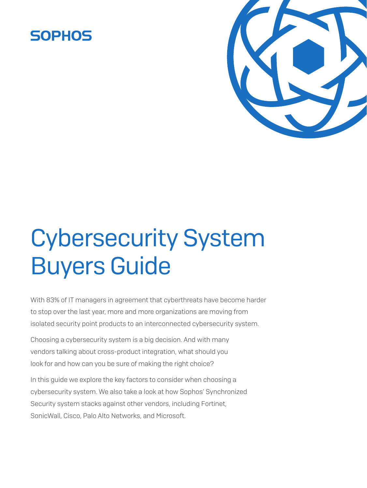## **SOPHOS**



# Cybersecurity System Buyers Guide

With 83% of IT managers in agreement that cyberthreats have become harder to stop over the last year, more and more organizations are moving from isolated security point products to an interconnected cybersecurity system.

Choosing a cybersecurity system is a big decision. And with many vendors talking about cross-product integration, what should you look for and how can you be sure of making the right choice?

In this guide we explore the key factors to consider when choosing a cybersecurity system. We also take a look at how Sophos' Synchronized Security system stacks against other vendors, including Fortinet, SonicWall, Cisco, Palo Alto Networks, and Microsoft.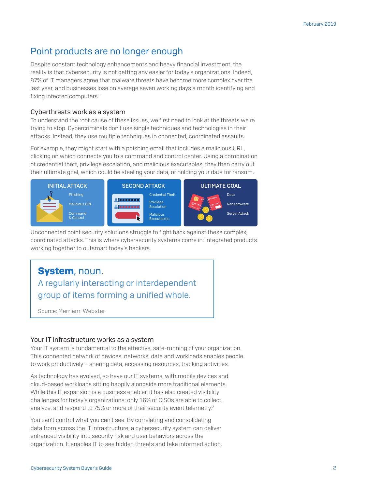## Point products are no longer enough

Despite constant technology enhancements and heavy financial investment, the reality is that cybersecurity is not getting any easier for today's organizations. Indeed, 87% of IT managers agree that malware threats have become more complex over the last year, and businesses lose on average seven working days a month identifying and fixing infected computers.<sup>1</sup>

#### Cyberthreats work as a system

To understand the root cause of these issues, we first need to look at the threats we're trying to stop. Cybercriminals don't use single techniques and technologies in their attacks. Instead, they use multiple techniques in connected, coordinated assaults.

For example, they might start with a phishing email that includes a malicious URL, clicking on which connects you to a command and control center. Using a combination of credential theft, privilege escalation, and malicious executables, they then carry out their ultimate goal, which could be stealing your data, or holding your data for ransom.



Unconnected point security solutions struggle to fight back against these complex, coordinated attacks. This is where cybersecurity systems come in: integrated products working together to outsmart today's hackers.

## System, noun. A regularly interacting or interdependent group of items forming a unified whole.

Source: [Merriam-Webster](https://www.merriam-webster.com/dictionary/system)

#### Your IT infrastructure works as a system

Your IT system is fundamental to the effective, safe-running of your organization. This connected network of devices, networks, data and workloads enables people to work productively – sharing data, accessing resources, tracking activities.

As technology has evolved, so have our IT systems, with mobile devices and cloud-based workloads sitting happily alongside more traditional elements. While this IT expansion is a business enabler, it has also created visibility challenges for today's organizations: only 16% of CISOs are able to collect, analyze, and respond to 75% or more of their security event telemetry.<sup>2</sup>

You can't control what you can't see. By correlating and consolidating data from across the IT infrastructure, a cybersecurity system can deliver enhanced visibility into security risk and user behaviors across the organization. It enables IT to see hidden threats and take informed action.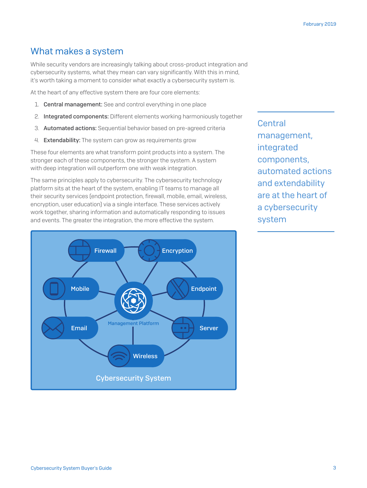### What makes a system

While security vendors are increasingly talking about cross-product integration and cybersecurity systems, what they mean can vary significantly. With this in mind, it's worth taking a moment to consider what exactly a cybersecurity system is.

At the heart of any effective system there are four core elements:

- 1. Central management: See and control everything in one place
- 2. Integrated components: Different elements working harmoniously together
- 3. Automated actions: Sequential behavior based on pre-agreed criteria
- 4. Extendability: The system can grow as requirements grow

These four elements are what transform point products into a system. The stronger each of these components, the stronger the system. A system with deep integration will outperform one with weak integration.

The same principles apply to cybersecurity. The cybersecurity technology platform sits at the heart of the system, enabling IT teams to manage all their security services (endpoint protection, firewall, mobile, email, wireless, encryption, user education) via a single interface. These services actively work together, sharing information and automatically responding to issues and events. The greater the integration, the more effective the system.



Central management, integrated components, automated actions and extendability are at the heart of a cybersecurity system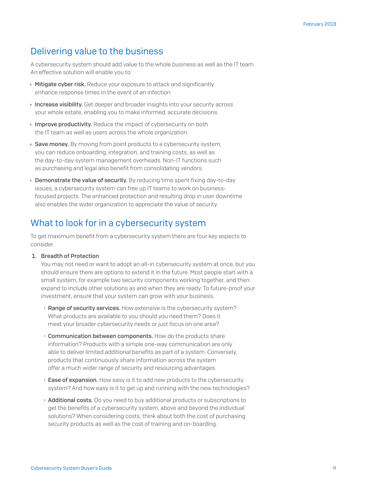## Delivering value to the business

A cybersecurity system should add value to the whole business as well as the IT team. An effective solution will enable you to:

- $\rightarrow$  Mitigate cyber risk. Reduce your exposure to attack and significantly enhance response times in the event of an infection.
- **Increase visibility.** Get deeper and broader insights into your security across your whole estate, enabling you to make informed, accurate decisions.
- Improve productivity. Reduce the impact of cybersecurity on both the IT team as well as users across the whole organization.
- $\rightarrow$  Save money. By moving from point products to a cybersecurity system, you can reduce onboarding, integration, and training costs, as well as the day-to-day system management overheads. Non-IT functions such as purchasing and legal also benefit from consolidating vendors.
- $\rightarrow$  Demonstrate the value of security. By reducing time spent fixing day-to-day issues, a cybersecurity system can free up IT teams to work on businessfocused projects. The enhanced protection and resulting drop in user downtime also enables the wider organization to appreciate the value of security.

## What to look for in a cybersecurity system

To get maximum benefit from a cybersecurity system there are four key aspects to consider.

#### 1. Breadth of Protection

You may not need or want to adopt an all-in cybersecurity system at once, but you should ensure there are options to extend it in the future. Most people start with a small system, for example two security components working together, and then expand to include other solutions as and when they are ready. To future-proof your investment, ensure that your system can grow with your business.

- Range of security services. How extensive is the cybersecurity system? What products are available to you should you need them? Does it meet your broader cybersecurity needs or just focus on one area?
- Communication between components. How do the products share information? Products with a simple one-way communication are only able to deliver limited additional benefits as part of a system. Conversely, products that continuously share information across the system offer a much wider range of security and resourcing advantages.
- Ease of expansion. How easy is it to add new products to the cybersecurity system? And how easy is it to get up and running with the new technologies?
- Additional costs. Do you need to buy additional products or subscriptions to get the benefits of a cybersecurity system, above and beyond the individual solutions? When considering costs, think about both the cost of purchasing security products as well as the cost of training and on-boarding.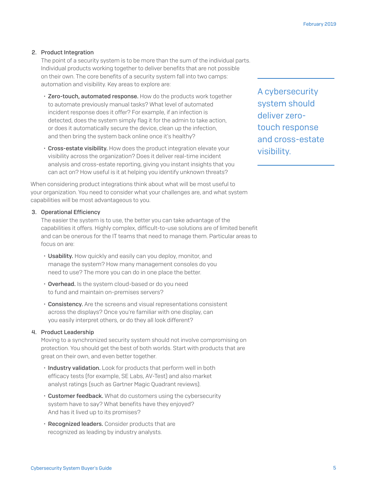#### 2. Product Integration

The point of a security system is to be more than the sum of the individual parts. Individual products working together to deliver benefits that are not possible on their own. The core benefits of a security system fall into two camps: automation and visibility. Key areas to explore are:

- Zero-touch, automated response. How do the products work together to automate previously manual tasks? What level of automated incident response does it offer? For example, if an infection is detected, does the system simply flag it for the admin to take action, or does it automatically secure the device, clean up the infection, and then bring the system back online once it's healthy?
- Cross-estate visibility. How does the product integration elevate your visibility across the organization? Does it deliver real-time incident analysis and cross-estate reporting, giving you instant insights that you can act on? How useful is it at helping you identify unknown threats?

When considering product integrations think about what will be most useful to your organization. You need to consider what your challenges are, and what system capabilities will be most advantageous to you.

#### 3. Operational Efficiency

The easier the system is to use, the better you can take advantage of the capabilities it offers. Highly complex, difficult-to-use solutions are of limited benefit and can be onerous for the IT teams that need to manage them. Particular areas to focus on are:

- Usability. How quickly and easily can you deploy, monitor, and manage the system? How many management consoles do you need to use? The more you can do in one place the better.
- Overhead. Is the system cloud-based or do you need to fund and maintain on-premises servers?
- Consistency. Are the screens and visual representations consistent across the displays? Once you're familiar with one display, can you easily interpret others, or do they all look different?

#### 4. Product Leadership

Moving to a synchronized security system should not involve compromising on protection. You should get the best of both worlds. Start with products that are great on their own, and even better together.

- Industry validation. Look for products that perform well in both efficacy tests (for example, SE Labs, AV-Test) and also market analyst ratings (such as Gartner Magic Quadrant reviews).
- Customer feedback. What do customers using the cybersecurity system have to say? What benefits have they enjoyed? And has it lived up to its promises?
- Recognized leaders. Consider products that are recognized as leading by industry analysts.

A cybersecurity system should deliver zerotouch response and cross-estate visibility.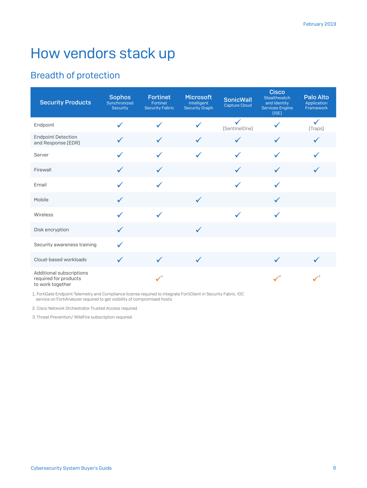# How vendors stack up

## Breadth of protection

| <b>Security Products</b>                                              | <b>Sophos</b><br>Synchronized<br><b>Security</b> | <b>Fortinet</b><br>Fortinet<br><b>Security Fabric</b> | <b>Microsoft</b><br>Intelligent<br><b>Security Graph</b> | <b>SonicWall</b><br>Capture Cloud | <b>Cisco</b><br>Stealthwatch<br>and Identity<br><b>Services Engine</b> | <b>Palo Alto</b><br>Application<br>Framework |
|-----------------------------------------------------------------------|--------------------------------------------------|-------------------------------------------------------|----------------------------------------------------------|-----------------------------------|------------------------------------------------------------------------|----------------------------------------------|
| Endpoint                                                              |                                                  |                                                       |                                                          | (SentinelOne)                     |                                                                        | √<br>(Traps)                                 |
| <b>Endpoint Detection</b><br>and Response (EDR)                       |                                                  |                                                       | $\checkmark$                                             | $\checkmark$                      |                                                                        |                                              |
| Server                                                                |                                                  |                                                       | $\checkmark$                                             | $\checkmark$                      | ✓                                                                      |                                              |
| Firewall                                                              | $\checkmark$                                     | $\checkmark$                                          |                                                          | $\checkmark$                      | $\checkmark$                                                           |                                              |
| Email                                                                 |                                                  |                                                       |                                                          | $\checkmark$                      | ✓                                                                      |                                              |
| Mobile                                                                | $\checkmark$                                     |                                                       | $\checkmark$                                             |                                   | $\checkmark$                                                           |                                              |
| Wireless                                                              |                                                  |                                                       |                                                          |                                   |                                                                        |                                              |
| Disk encryption                                                       |                                                  |                                                       | $\checkmark$                                             |                                   |                                                                        |                                              |
| Security awareness training                                           |                                                  |                                                       |                                                          |                                   |                                                                        |                                              |
| Cloud-based workloads                                                 | $\checkmark$                                     | $\checkmark$                                          | $\checkmark$                                             |                                   | $\checkmark$                                                           |                                              |
| Additional subscriptions<br>required for products<br>to work together |                                                  |                                                       |                                                          |                                   |                                                                        |                                              |

1. FortiGate Endpoint Telemetry and Compliance license required to integrate FortiClient in Security Fabric. IOC service on FortiAnalyzer required to get visibility of compromised hosts.

2. Cisco Network Orchestrator Trusted Access required.

3. Threat Prevention/ WildFire subscription required.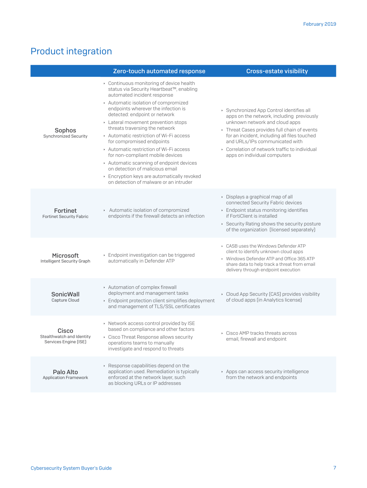## Product integration

|                                                             | Zero-touch automated response                                                                                                                                                                                                                                                                                                                                                                                                                                                                                                                                                                                                   | <b>Cross-estate visibility</b>                                                                                                                                                                                                                                                                                                           |
|-------------------------------------------------------------|---------------------------------------------------------------------------------------------------------------------------------------------------------------------------------------------------------------------------------------------------------------------------------------------------------------------------------------------------------------------------------------------------------------------------------------------------------------------------------------------------------------------------------------------------------------------------------------------------------------------------------|------------------------------------------------------------------------------------------------------------------------------------------------------------------------------------------------------------------------------------------------------------------------------------------------------------------------------------------|
| Sophos<br>Synchronized Security                             | ▸ Continuous monitoring of device health<br>status via Security Heartbeat™, enabling<br>automated incident response<br>Automatic isolation of compromized<br>endpoints wherever the infection is<br>detected: endpoint or network<br>Lateral movement prevention stops<br>threats traversing the network<br>Automatic restriction of Wi-Fi access<br>for compromised endpoints<br>Automatic restriction of Wi-Fi access<br>for non-compliant mobile devices<br>Automatic scanning of endpoint devices<br>on detection of malicious email<br>Encryption keys are automatically revoked<br>on detection of malware or an intruder | ▶ Synchronized App Control identifies all<br>apps on the network, including previously<br>unknown network and cloud apps<br>Threat Cases provides full chain of events<br>for an incident, including all files touched<br>and URLs/IPs communicated with<br>Correlation of network traffic to individual<br>apps on individual computers |
| Fortinet<br><b>Fortinet Security Fabric</b>                 | Automatic isolation of compromized<br>endpoints if the firewall detects an infection                                                                                                                                                                                                                                                                                                                                                                                                                                                                                                                                            | Displays a graphical map of all<br>connected Security Fabric devices<br>Endpoint status monitoring identifies<br>if FortiClient is installed<br>▶ Security Rating shows the security posture<br>of the organization (licensed separately)                                                                                                |
| <b>Microsoft</b><br>Intelligent Security Graph              | Endpoint investigation can be triggered<br>automatically in Defender ATP                                                                                                                                                                                                                                                                                                                                                                                                                                                                                                                                                        | CASB uses the Windows Defender ATP<br>client to identify unknown cloud apps<br>▶ Windows Defender ATP and Office 365 ATP<br>share data to help track a threat from email<br>delivery through endpoint execution                                                                                                                          |
| <b>SonicWall</b><br>Capture Cloud                           | Automation of complex firewall<br>deployment and management tasks<br>Endpoint protection client simplifies deployment<br>and management of TLS/SSL certificates                                                                                                                                                                                                                                                                                                                                                                                                                                                                 | Cloud App Security (CAS) provides visibility<br>of cloud apps (in Analytics license)                                                                                                                                                                                                                                                     |
| Cisco<br>Stealthwatch and Identity<br>Services Engine [ISE] | ▶ Network access control provided by ISE<br>based on compliance and other factors<br>Cisco Threat Response allows security<br>operations teams to manually<br>investigate and respond to threats                                                                                                                                                                                                                                                                                                                                                                                                                                | Cisco AMP tracks threats across<br>email, firewall and endpoint                                                                                                                                                                                                                                                                          |
| Palo Alto<br><b>Application Framework</b>                   | Response capabilities depend on the<br>application used. Remediation is typically<br>enforced at the network layer, such<br>as blocking URLs or IP addresses                                                                                                                                                                                                                                                                                                                                                                                                                                                                    | Apps can access security intelligence<br>from the network and endpoints                                                                                                                                                                                                                                                                  |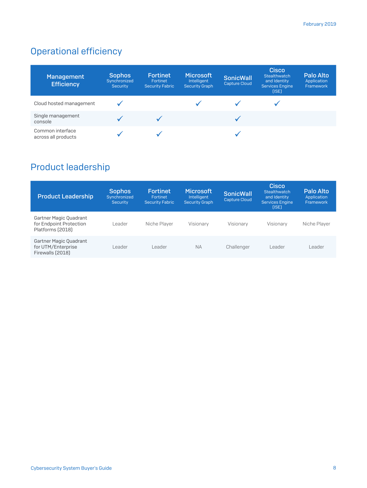## Operational efficiency

| Management<br><b>Efficiency</b>         | <b>Sophos</b><br>Synchronized<br>Security | <b>Fortinet</b><br>Fortinet<br><b>Security Fabric</b> | <b>Microsoft</b><br>Intelligent<br><b>Security Graph</b> | <b>SonicWall</b><br><b>Capture Cloud</b> | <b>Cisco</b><br>Stealthwatch<br>and Identity<br><b>Services Engine</b><br>(ISE) | Palo Alto<br>Application<br>Framework |
|-----------------------------------------|-------------------------------------------|-------------------------------------------------------|----------------------------------------------------------|------------------------------------------|---------------------------------------------------------------------------------|---------------------------------------|
| Cloud hosted management                 |                                           |                                                       |                                                          |                                          |                                                                                 |                                       |
| Single management<br>console            |                                           |                                                       |                                                          |                                          |                                                                                 |                                       |
| Common interface<br>across all products |                                           |                                                       |                                                          |                                          |                                                                                 |                                       |

## Product leadership

| <b>Product Leadership</b>                                             | <b>Sophos</b><br>Synchronized<br><b>Security</b> | <b>Fortinet</b><br>Fortinet<br><b>Security Fabric</b> | <b>Microsoft</b><br>Intelligent<br><b>Security Graph</b> | <b>SonicWall</b><br><b>Capture Cloud</b> | Cisco<br>Stealthwatch<br>and Identity<br><b>Services Engine</b><br>$[$ ( $ SE$ ) | Palo Alto<br>Application<br>Framework |
|-----------------------------------------------------------------------|--------------------------------------------------|-------------------------------------------------------|----------------------------------------------------------|------------------------------------------|----------------------------------------------------------------------------------|---------------------------------------|
| Gartner Magic Quadrant<br>for Endpoint Protection<br>Platforms (2018) | l eader                                          | Niche Plaver                                          | Visionary                                                | Visionary                                | Visionary                                                                        | Niche Plaver                          |
| Gartner Magic Quadrant<br>for UTM/Enterprise<br>Firewalls (2018)      | l eader                                          | l eader                                               | <b>NA</b>                                                | Challenger                               | Leader                                                                           | eader                                 |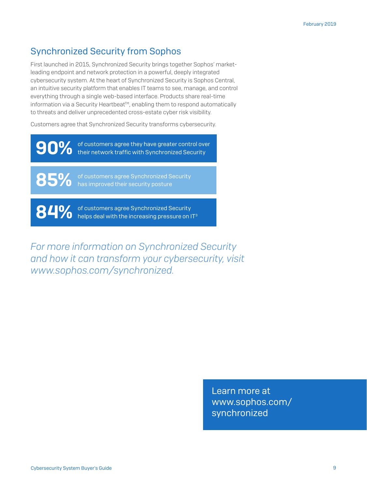## Synchronized Security from Sophos

First launched in 2015, Synchronized Security brings together Sophos' marketleading endpoint and network protection in a powerful, deeply integrated cybersecurity system. At the heart of Synchronized Security is Sophos Central, an intuitive security platform that enables IT teams to see, manage, and control everything through a single web-based interface. Products share real-time information via a Security Heartbeat™, enabling them to respond automatically to threats and deliver unprecedented cross-estate cyber risk visibility.

Customers agree that Synchronized Security transforms cybersecurity.

**90%** of customers agree they have greater control over<br>their network traffic with Synchronized Security

85% of customers agree Synchronized Security<br>has improved their security posture

84% of customers agree Synchronized Security<br>helps deal with the increasing pressure on IT<sup>3</sup>

*For more information on Synchronized Security and how it can transform your cybersecurity, visit www.sophos.com/synchronized.*

> Learn more at [www.sophos.com/](https://www.sophos.com/en-us/lp/synchronized-security.aspx) synchronized